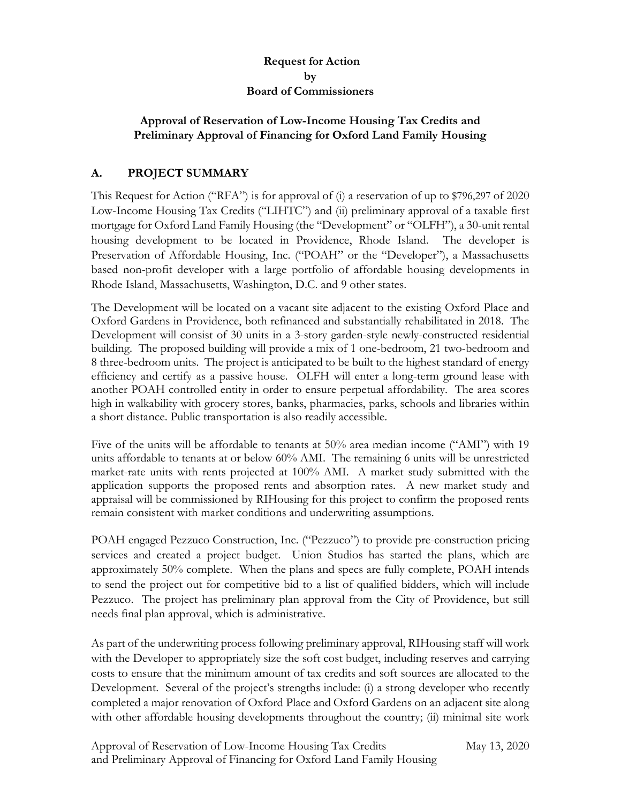## **Request for Action by Board of Commissioners**

### **Approval of Reservation of Low-Income Housing Tax Credits and Preliminary Approval of Financing for Oxford Land Family Housing**

# **A. PROJECT SUMMARY**

This Request for Action ("RFA") is for approval of (i) a reservation of up to \$796,297 of 2020 Low-Income Housing Tax Credits ("LIHTC") and (ii) preliminary approval of a taxable first mortgage for Oxford Land Family Housing (the "Development" or "OLFH"), a 30-unit rental housing development to be located in Providence, Rhode Island. The developer is Preservation of Affordable Housing, Inc. ("POAH" or the "Developer"), a Massachusetts based non-profit developer with a large portfolio of affordable housing developments in Rhode Island, Massachusetts, Washington, D.C. and 9 other states.

The Development will be located on a vacant site adjacent to the existing Oxford Place and Oxford Gardens in Providence, both refinanced and substantially rehabilitated in 2018. The Development will consist of 30 units in a 3-story garden-style newly-constructed residential building. The proposed building will provide a mix of 1 one-bedroom, 21 two-bedroom and 8 three-bedroom units. The project is anticipated to be built to the highest standard of energy efficiency and certify as a passive house. OLFH will enter a long-term ground lease with another POAH controlled entity in order to ensure perpetual affordability. The area scores high in walkability with grocery stores, banks, pharmacies, parks, schools and libraries within a short distance. Public transportation is also readily accessible.

Five of the units will be affordable to tenants at 50% area median income ("AMI") with 19 units affordable to tenants at or below 60% AMI. The remaining 6 units will be unrestricted market-rate units with rents projected at 100% AMI. A market study submitted with the application supports the proposed rents and absorption rates. A new market study and appraisal will be commissioned by RIHousing for this project to confirm the proposed rents remain consistent with market conditions and underwriting assumptions.

POAH engaged Pezzuco Construction, Inc. ("Pezzuco") to provide pre-construction pricing services and created a project budget. Union Studios has started the plans, which are approximately 50% complete. When the plans and specs are fully complete, POAH intends to send the project out for competitive bid to a list of qualified bidders, which will include Pezzuco. The project has preliminary plan approval from the City of Providence, but still needs final plan approval, which is administrative.

As part of the underwriting process following preliminary approval, RIHousing staff will work with the Developer to appropriately size the soft cost budget, including reserves and carrying costs to ensure that the minimum amount of tax credits and soft sources are allocated to the Development. Several of the project's strengths include: (i) a strong developer who recently completed a major renovation of Oxford Place and Oxford Gardens on an adjacent site along with other affordable housing developments throughout the country; (ii) minimal site work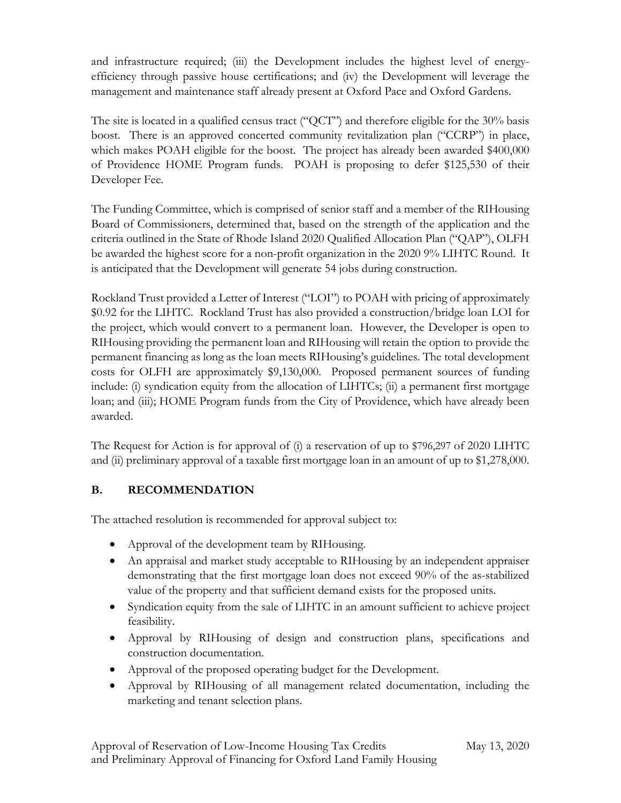and infrastructure required; (iii) the Development includes the highest level of energyefficiency through passive house certifications; and (iv) the Development will leverage the management and maintenance staff already present at Oxford Pace and Oxford Gardens.

The site is located in a qualified census tract ("QCT") and therefore eligible for the 30% basis boost. There is an approved concerted community revitalization plan ("CCRP") in place, which makes POAH eligible for the boost. The project has already been awarded \$400,000 of Providence HOME Program funds. POAH is proposing to defer \$125,530 of their Developer Fee.

The Funding Committee, which is comprised of senior staff and a member of the RIHousing Board of Commissioners, determined that, based on the strength of the application and the criteria outlined in the State of Rhode Island 2020 Qualified Allocation Plan ("QAP"), OLFH be awarded the highest score for a non-profit organization in the 2020 9% LIHTC Round. It is anticipated that the Development will generate 54 jobs during construction.

Rockland Trust provided a Letter of Interest ("LOI") to POAH with pricing of approximately \$0.92 for the LIHTC. Rockland Trust has also provided a construction/bridge loan LOI for the project, which would convert to a permanent loan. However, the Developer is open to RIHousing providing the permanent loan and RIHousing will retain the option to provide the permanent financing as long as the loan meets RIHousing's guidelines. The total development costs for OLFH are approximately \$9,130,000. Proposed permanent sources of funding include: (i) syndication equity from the allocation of LIHTCs; (ii) a permanent first mortgage loan; and (iii); HOME Program funds from the City of Providence, which have already been awarded.

The Request for Action is for approval of (i) a reservation of up to \$796,297 of 2020 LIHTC and (ii) preliminary approval of a taxable first mortgage loan in an amount of up to \$1,278,000.

# **B. RECOMMENDATION**

The attached resolution is recommended for approval subject to:

- Approval of the development team by RIHousing.
- An appraisal and market study acceptable to RIHousing by an independent appraiser demonstrating that the first mortgage loan does not exceed 90% of the as-stabilized value of the property and that sufficient demand exists for the proposed units.
- Syndication equity from the sale of LIHTC in an amount sufficient to achieve project feasibility.
- Approval by RIHousing of design and construction plans, specifications and construction documentation.
- Approval of the proposed operating budget for the Development.
- Approval by RIHousing of all management related documentation, including the marketing and tenant selection plans.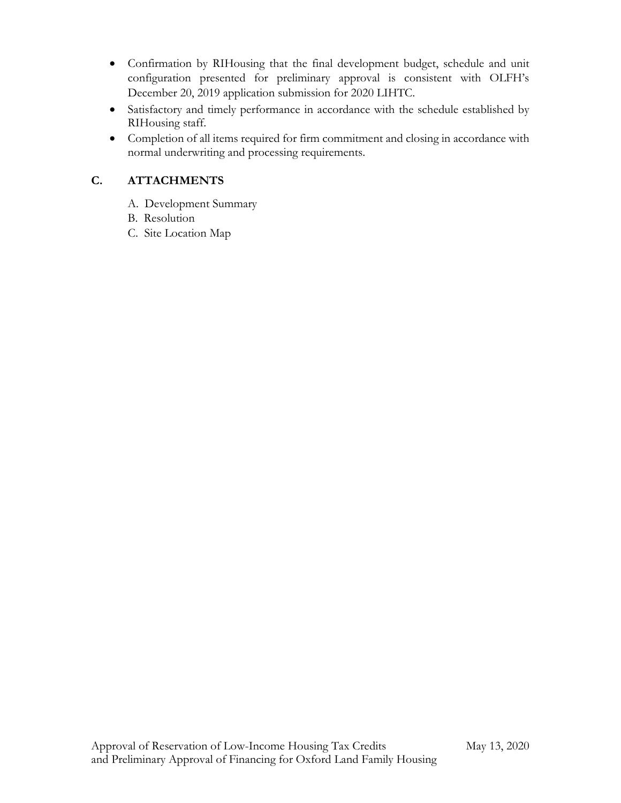- Confirmation by RIHousing that the final development budget, schedule and unit configuration presented for preliminary approval is consistent with OLFH's December 20, 2019 application submission for 2020 LIHTC.
- Satisfactory and timely performance in accordance with the schedule established by RIHousing staff.
- Completion of all items required for firm commitment and closing in accordance with normal underwriting and processing requirements.

# **C. ATTACHMENTS**

- A. Development Summary
- B. Resolution
- C. Site Location Map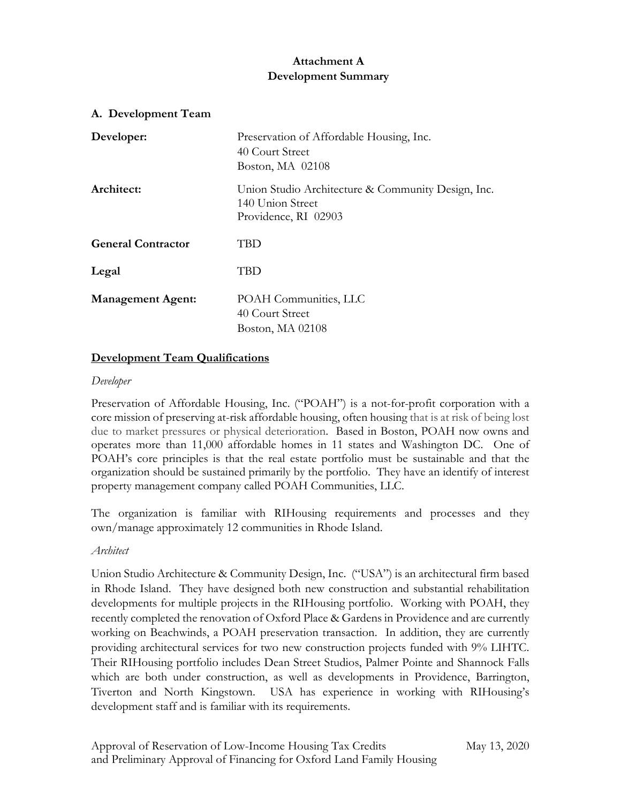# **Attachment A Development Summary**

| A. Development Team       |                                                                                                |
|---------------------------|------------------------------------------------------------------------------------------------|
| Developer:                | Preservation of Affordable Housing, Inc.<br>40 Court Street<br>Boston, MA 02108                |
| Architect:                | Union Studio Architecture & Community Design, Inc.<br>140 Union Street<br>Providence, RI 02903 |
| <b>General Contractor</b> | TBD                                                                                            |
| Legal                     | TBD                                                                                            |
| <b>Management Agent:</b>  | POAH Communities, LLC<br>40 Court Street<br>Boston, MA 02108                                   |

### **Development Team Qualifications**

#### *Developer*

Preservation of Affordable Housing, Inc. ("POAH") is a not-for-profit corporation with a core mission of preserving at-risk affordable housing, often housing that is at risk of being lost due to market pressures or physical deterioration. Based in Boston, POAH now owns and operates more than 11,000 affordable homes in 11 states and Washington DC. One of POAH's core principles is that the real estate portfolio must be sustainable and that the organization should be sustained primarily by the portfolio. They have an identify of interest property management company called POAH Communities, LLC.

The organization is familiar with RIHousing requirements and processes and they own/manage approximately 12 communities in Rhode Island.

#### *Architect*

Union Studio Architecture & Community Design, Inc. ("USA") is an architectural firm based in Rhode Island. They have designed both new construction and substantial rehabilitation developments for multiple projects in the RIHousing portfolio. Working with POAH, they recently completed the renovation of Oxford Place & Gardens in Providence and are currently working on Beachwinds, a POAH preservation transaction. In addition, they are currently providing architectural services for two new construction projects funded with 9% LIHTC. Their RIHousing portfolio includes Dean Street Studios, Palmer Pointe and Shannock Falls which are both under construction, as well as developments in Providence, Barrington, Tiverton and North Kingstown. USA has experience in working with RIHousing's development staff and is familiar with its requirements.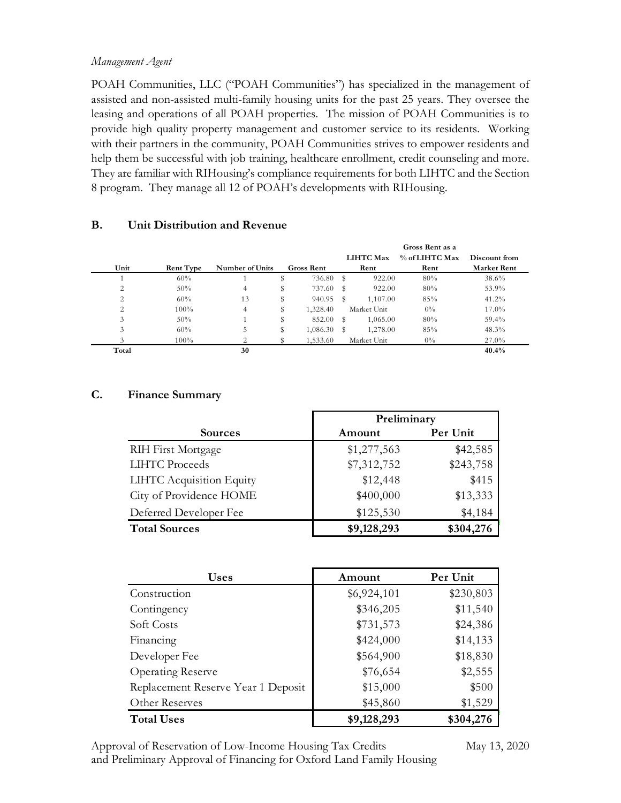#### *Management Agent*

POAH Communities, LLC ("POAH Communities") has specialized in the management of assisted and non-assisted multi-family housing units for the past 25 years. They oversee the leasing and operations of all POAH properties. The mission of POAH Communities is to provide high quality property management and customer service to its residents. Working with their partners in the community, POAH Communities strives to empower residents and help them be successful with job training, healthcare enrollment, credit counseling and more. They are familiar with RIHousing's compliance requirements for both LIHTC and the Section 8 program. They manage all 12 of POAH's developments with RIHousing.

|       |                  |                 |                | Gross Rent as a |                  |                |                    |
|-------|------------------|-----------------|----------------|-----------------|------------------|----------------|--------------------|
|       |                  |                 |                |                 | <b>LIHTC Max</b> | % of LIHTC Max | Discount from      |
| Unit  | <b>Rent Type</b> | Number of Units | Gross Rent     |                 | Rent             | Rent           | <b>Market Rent</b> |
|       | 60%              |                 | \$<br>736.80   | s               | 922.00           | 80%            | 38.6%              |
| 2     | 50%              | 4               | 737.60         | s               | 922.00           | 80%            | 53.9%              |
| 2     | 60%              | 13              | \$<br>940.95   | S               | 1,107.00         | 85%            | 41.2%              |
|       | $100\%$          | 4               | \$<br>1,328.40 |                 | Market Unit      | $0\%$          | $17.0\%$           |
| 3     | 50%              |                 | \$<br>852.00   | s               | 1,065.00         | 80%            | 59.4%              |
| 3     | 60%              | 5               | \$<br>1,086.30 | s               | 1,278.00         | 85%            | 48.3%              |
|       | 100%             | 2               | 1,533.60       |                 | Market Unit      | $0\%$          | $27.0\%$           |
| Total |                  | 30              |                |                 |                  |                | 40.4%              |

#### **B. Unit Distribution and Revenue**

### **C. Finance Summary**

|                           | Preliminary |           |  |
|---------------------------|-------------|-----------|--|
| <b>Sources</b>            | Amount      | Per Unit  |  |
| <b>RIH First Mortgage</b> | \$1,277,563 | \$42,585  |  |
| <b>LIHTC Proceeds</b>     | \$7,312,752 | \$243,758 |  |
| LIHTC Acquisition Equity  | \$12,448    | \$415     |  |
| City of Providence HOME   | \$400,000   | \$13,333  |  |
| Deferred Developer Fee    | \$125,530   | \$4,184   |  |
| <b>Total Sources</b>      | \$9,128,293 | \$304,276 |  |

| <b>Uses</b>                        | Amount      | Per Unit  |
|------------------------------------|-------------|-----------|
| Construction                       | \$6,924,101 | \$230,803 |
| Contingency                        | \$346,205   | \$11,540  |
| Soft Costs                         | \$731,573   | \$24,386  |
| Financing                          | \$424,000   | \$14,133  |
| Developer Fee                      | \$564,900   | \$18,830  |
| <b>Operating Reserve</b>           | \$76,654    | \$2,555   |
| Replacement Reserve Year 1 Deposit | \$15,000    | \$500     |
| Other Reserves                     | \$45,860    | \$1,529   |
| <b>Total Uses</b>                  | \$9,128,293 | \$304,276 |

Approval of Reservation of Low-Income Housing Tax Credits May 13, 2020 and Preliminary Approval of Financing for Oxford Land Family Housing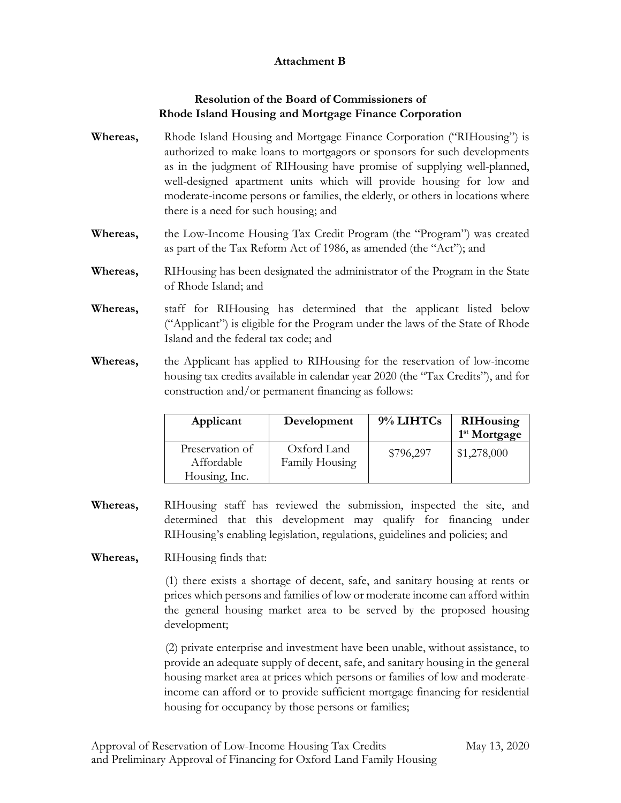## **Attachment B**

# **Resolution of the Board of Commissioners of Rhode Island Housing and Mortgage Finance Corporation**

- **Whereas,** Rhode Island Housing and Mortgage Finance Corporation ("RIHousing") is authorized to make loans to mortgagors or sponsors for such developments as in the judgment of RIHousing have promise of supplying well-planned, well-designed apartment units which will provide housing for low and moderate-income persons or families, the elderly, or others in locations where there is a need for such housing; and
- **Whereas,** the Low-Income Housing Tax Credit Program (the "Program") was created as part of the Tax Reform Act of 1986, as amended (the "Act"); and
- **Whereas,** RIHousing has been designated the administrator of the Program in the State of Rhode Island; and
- **Whereas,** staff for RIHousing has determined that the applicant listed below ("Applicant") is eligible for the Program under the laws of the State of Rhode Island and the federal tax code; and
- **Whereas,** the Applicant has applied to RIHousing for the reservation of low-income housing tax credits available in calendar year 2020 (the "Tax Credits"), and for construction and/or permanent financing as follows:

| Applicant                     | Development                   | 9% LIHTCs | <b>RIHousing</b><br>1 <sup>st</sup> Mortgage |
|-------------------------------|-------------------------------|-----------|----------------------------------------------|
| Preservation of<br>Affordable | Oxford Land<br>Family Housing | \$796,297 | \$1,278,000                                  |
| Housing, Inc.                 |                               |           |                                              |

- **Whereas,** RIHousing staff has reviewed the submission, inspected the site, and determined that this development may qualify for financing under RIHousing's enabling legislation, regulations, guidelines and policies; and
- **Whereas,** RIHousing finds that:

(1) there exists a shortage of decent, safe, and sanitary housing at rents or prices which persons and families of low or moderate income can afford within the general housing market area to be served by the proposed housing development;

(2) private enterprise and investment have been unable, without assistance, to provide an adequate supply of decent, safe, and sanitary housing in the general housing market area at prices which persons or families of low and moderateincome can afford or to provide sufficient mortgage financing for residential housing for occupancy by those persons or families;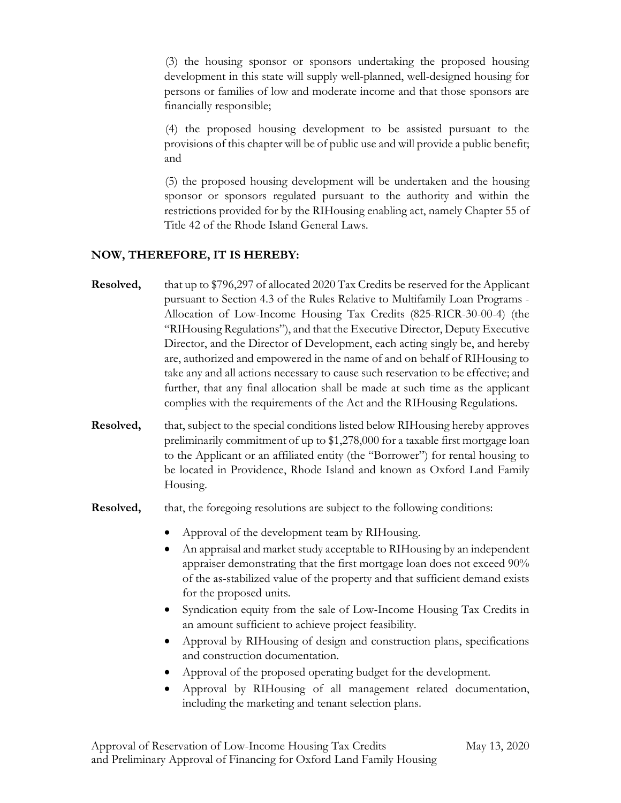(3) the housing sponsor or sponsors undertaking the proposed housing development in this state will supply well-planned, well-designed housing for persons or families of low and moderate income and that those sponsors are financially responsible;

(4) the proposed housing development to be assisted pursuant to the provisions of this chapter will be of public use and will provide a public benefit; and

(5) the proposed housing development will be undertaken and the housing sponsor or sponsors regulated pursuant to the authority and within the restrictions provided for by the RIHousing enabling act, namely Chapter 55 of Title 42 of the Rhode Island General Laws.

### **NOW, THEREFORE, IT IS HEREBY:**

- **Resolved,** that up to \$796,297 of allocated 2020 Tax Credits be reserved for the Applicant pursuant to Section 4.3 of the Rules Relative to Multifamily Loan Programs - Allocation of Low-Income Housing Tax Credits (825-RICR-30-00-4) (the "RIHousing Regulations"), and that the Executive Director, Deputy Executive Director, and the Director of Development, each acting singly be, and hereby are, authorized and empowered in the name of and on behalf of RIHousing to take any and all actions necessary to cause such reservation to be effective; and further, that any final allocation shall be made at such time as the applicant complies with the requirements of the Act and the RIHousing Regulations.
- **Resolved,** that, subject to the special conditions listed below RIHousing hereby approves preliminarily commitment of up to \$1,278,000 for a taxable first mortgage loan to the Applicant or an affiliated entity (the "Borrower") for rental housing to be located in Providence, Rhode Island and known as Oxford Land Family Housing.
- **Resolved,** that, the foregoing resolutions are subject to the following conditions:
	- Approval of the development team by RIHousing.
	- An appraisal and market study acceptable to RIHousing by an independent appraiser demonstrating that the first mortgage loan does not exceed 90% of the as-stabilized value of the property and that sufficient demand exists for the proposed units.
	- Syndication equity from the sale of Low-Income Housing Tax Credits in an amount sufficient to achieve project feasibility.
	- Approval by RIHousing of design and construction plans, specifications and construction documentation.
	- Approval of the proposed operating budget for the development.
	- Approval by RIHousing of all management related documentation, including the marketing and tenant selection plans.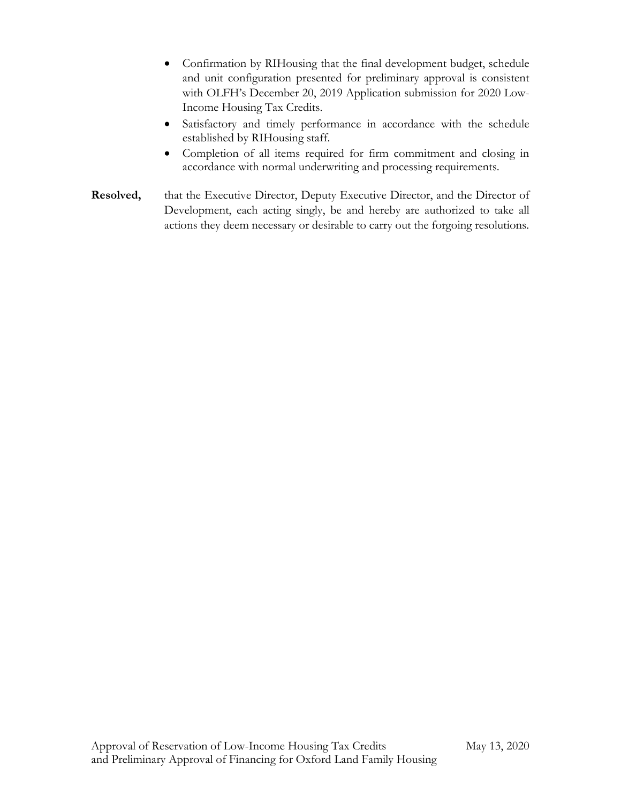- Confirmation by RIHousing that the final development budget, schedule and unit configuration presented for preliminary approval is consistent with OLFH's December 20, 2019 Application submission for 2020 Low-Income Housing Tax Credits.
- Satisfactory and timely performance in accordance with the schedule established by RIHousing staff.
- Completion of all items required for firm commitment and closing in accordance with normal underwriting and processing requirements.
- **Resolved,** that the Executive Director, Deputy Executive Director, and the Director of Development, each acting singly, be and hereby are authorized to take all actions they deem necessary or desirable to carry out the forgoing resolutions.